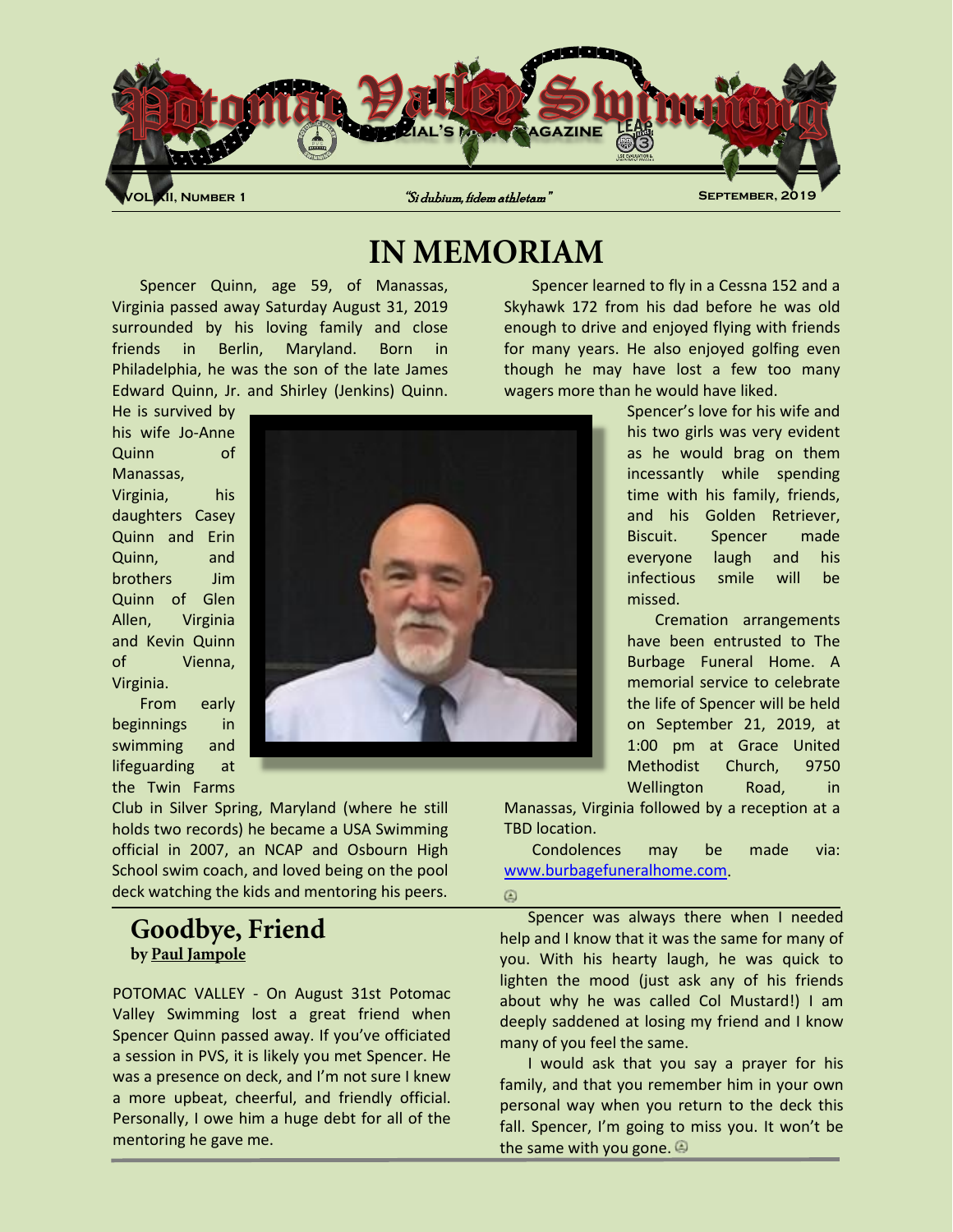

# **IN MEMORIAM**

Spencer Quinn, age 59, of Manassas, Virginia passed away Saturday August 31, 2019 surrounded by his loving family and close friends in Berlin, Maryland. Born in Philadelphia, he was the son of the late James Edward Quinn, Jr. and Shirley (Jenkins) Quinn.

He is survived by his wife Jo-Anne Quinn of Manassas, Virginia, his daughters Casey Quinn and Erin Quinn, and brothers Jim Quinn of Glen Allen, Virginia and Kevin Quinn of Vienna, Virginia.

From early beginnings in swimming and lifeguarding at the Twin Farms

Club in Silver Spring, Maryland (where he still holds two records) he became a USA Swimming official in 2007, an NCAP and Osbourn High School swim coach, and loved being on the pool deck watching the kids and mentoring his peers.

### **Goodbye, Friend by Paul Jampole**

POTOMAC VALLEY - On August 31st Potomac Valley Swimming lost a great friend when Spencer Quinn passed away. If you've officiated a session in PVS, it is likely you met Spencer. He was a presence on deck, and I'm not sure I knew a more upbeat, cheerful, and friendly official. Personally, I owe him a huge debt for all of the mentoring he gave me.

Spencer learned to fly in a Cessna 152 and a Skyhawk 172 from his dad before he was old enough to drive and enjoyed flying with friends for many years. He also enjoyed golfing even though he may have lost a few too many wagers more than he would have liked.

> Spencer's love for his wife and his two girls was very evident as he would brag on them incessantly while spending time with his family, friends, and his Golden Retriever, Biscuit. Spencer made everyone laugh and his infectious smile will be missed.

> Cremation arrangements have been entrusted to The Burbage Funeral Home. A memorial service to celebrate the life of Spencer will be held on September 21, 2019, at 1:00 pm at Grace United Methodist Church, 9750 Wellington Road, in

Manassas, Virginia followed by a reception at a TBD location.

Condolences may be made via: www.burbagefuneralhome.com.

#### ۵

Spencer was always there when I needed help and I know that it was the same for many of you. With his hearty laugh, he was quick to lighten the mood (just ask any of his friends about why he was called Col Mustard!) I am deeply saddened at losing my friend and I know many of you feel the same.

I would ask that you say a prayer for his family, and that you remember him in your own personal way when you return to the deck this fall. Spencer, I'm going to miss you. It won't be the same with you gone.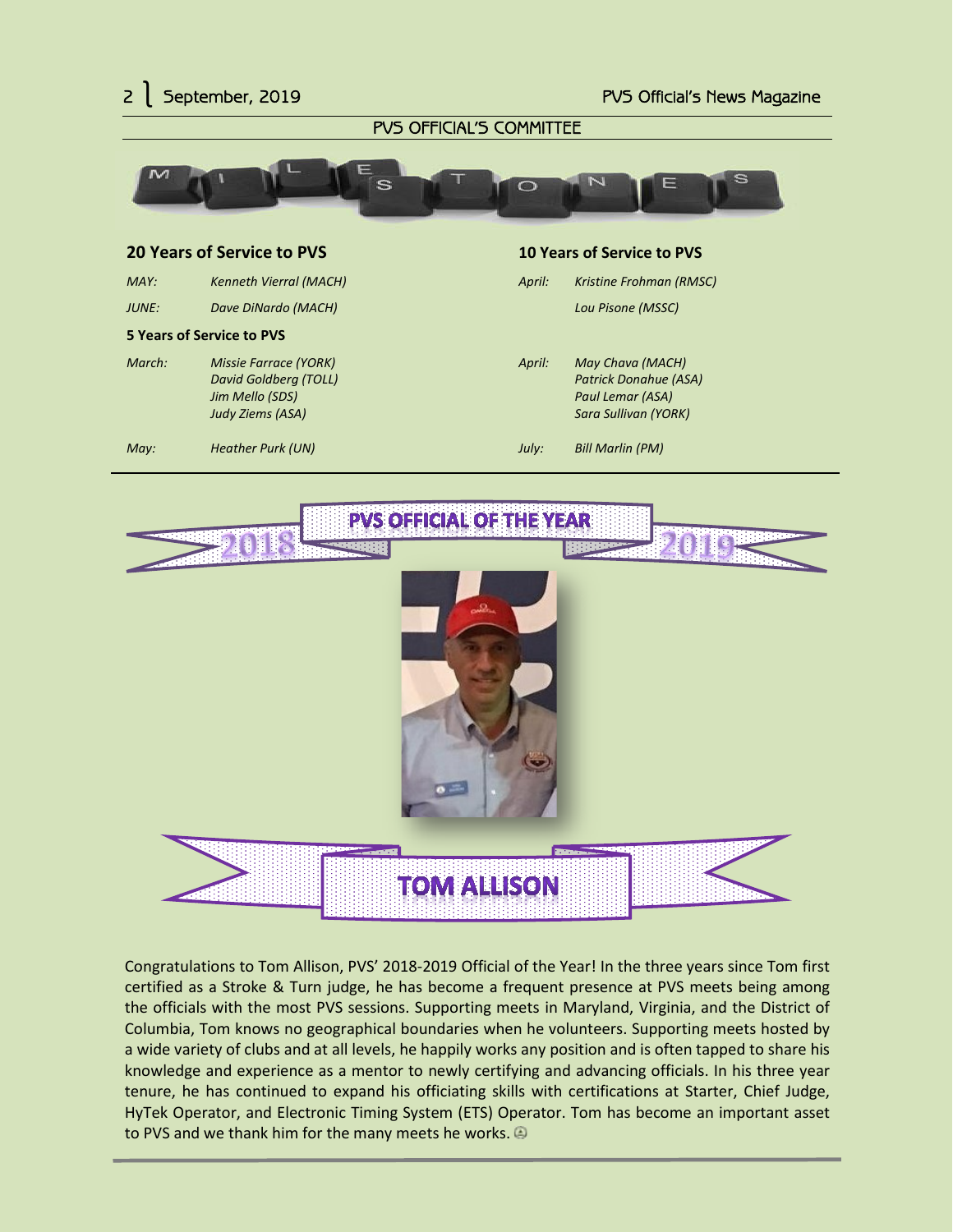



Congratulations to Tom Allison, PVS' 2018-2019 Official of the Year! In the three years since Tom first certified as a Stroke & Turn judge, he has become a frequent presence at PVS meets being among the officials with the most PVS sessions. Supporting meets in Maryland, Virginia, and the District of Columbia, Tom knows no geographical boundaries when he volunteers. Supporting meets hosted by a wide variety of clubs and at all levels, he happily works any position and is often tapped to share his knowledge and experience as a mentor to newly certifying and advancing officials. In his three year tenure, he has continued to expand his officiating skills with certifications at Starter, Chief Judge, HyTek Operator, and Electronic Timing System (ETS) Operator. Tom has become an important asset to PVS and we thank him for the many meets he works.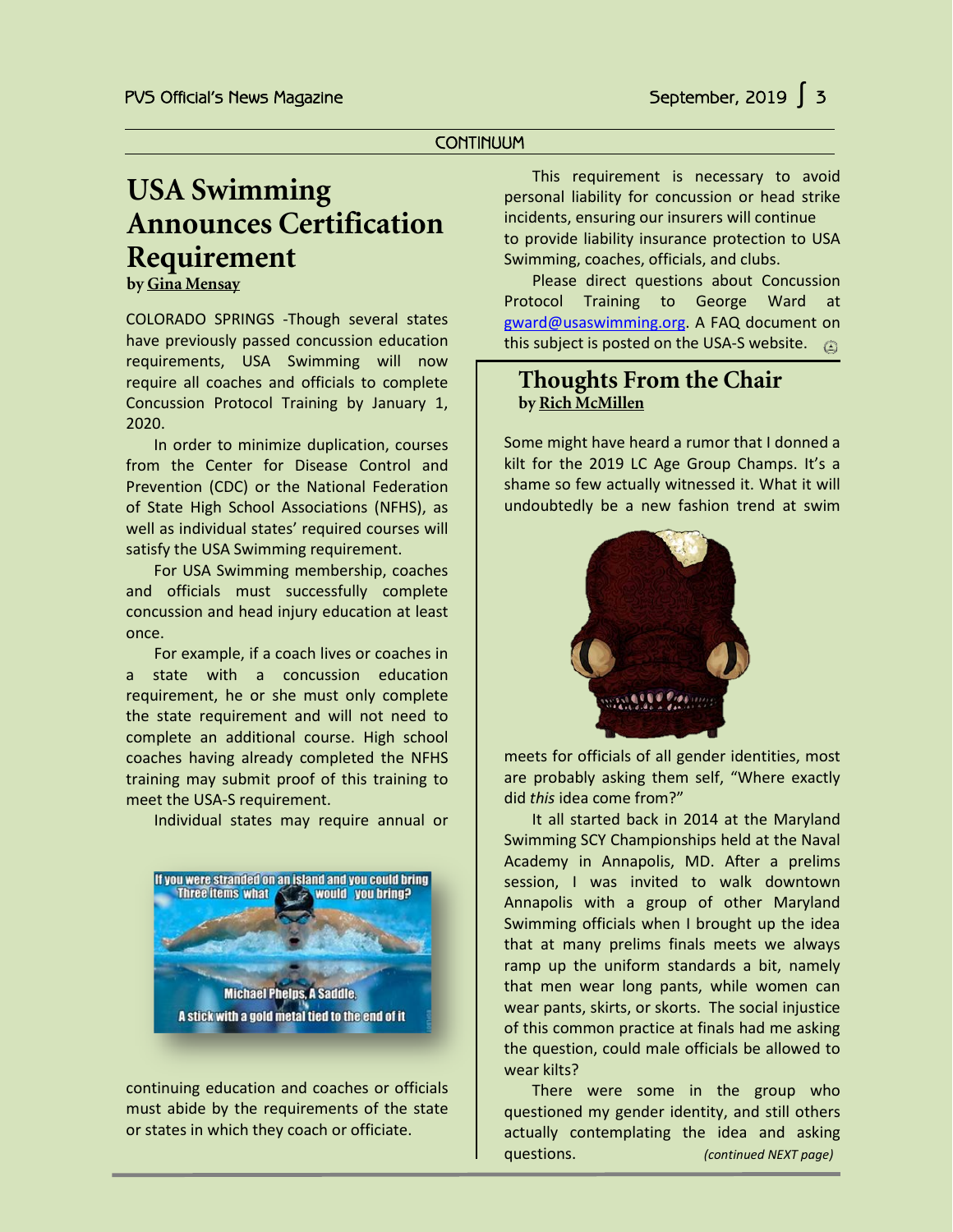#### **CONTINUUM**

# **USA Swimming Announces Certification Requirement**

**by Gina Mensay**

COLORADO SPRINGS -Though several states have previously passed concussion education requirements, USA Swimming will now require all coaches and officials to complete Concussion Protocol Training by January 1, 2020.

In order to minimize duplication, courses from the Center for Disease Control and Prevention (CDC) or the National Federation of State High School Associations (NFHS), as well as individual states' required courses will satisfy the USA Swimming requirement.

For USA Swimming membership, coaches and officials must successfully complete concussion and head injury education at least once.

For example, if a coach lives or coaches in a state with a concussion education requirement, he or she must only complete the state requirement and will not need to complete an additional course. High school coaches having already completed the NFHS training may submit proof of this training to meet the USA-S requirement.

Individual states may require annual or



continuing education and coaches or officials must abide by the requirements of the state or states in which they coach or officiate.

This requirement is necessary to avoid personal liability for concussion or head strike incidents, ensuring our insurers will continue to provide liability insurance protection to USA Swimming, coaches, officials, and clubs.

Please direct questions about Concussion Protocol Training to George Ward at gward@usaswimming.org. A FAQ document on this subject is posted on the USA-S website.  $\textcircled{a}$ 

### **Thoughts From the Chair by Rich McMillen**

Some might have heard a rumor that I donned a kilt for the 2019 LC Age Group Champs. It's a shame so few actually witnessed it. What it will undoubtedly be a new fashion trend at swim



meets for officials of all gender identities, most are probably asking them self, "Where exactly did *this* idea come from?"

It all started back in 2014 at the Maryland Swimming SCY Championships held at the Naval Academy in Annapolis, MD. After a prelims session, I was invited to walk downtown Annapolis with a group of other Maryland Swimming officials when I brought up the idea that at many prelims finals meets we always ramp up the uniform standards a bit, namely that men wear long pants, while women can wear pants, skirts, or skorts. The social injustice of this common practice at finals had me asking the question, could male officials be allowed to wear kilts?

There were some in the group who questioned my gender identity, and still others actually contemplating the idea and asking questions. *(continued NEXT page)*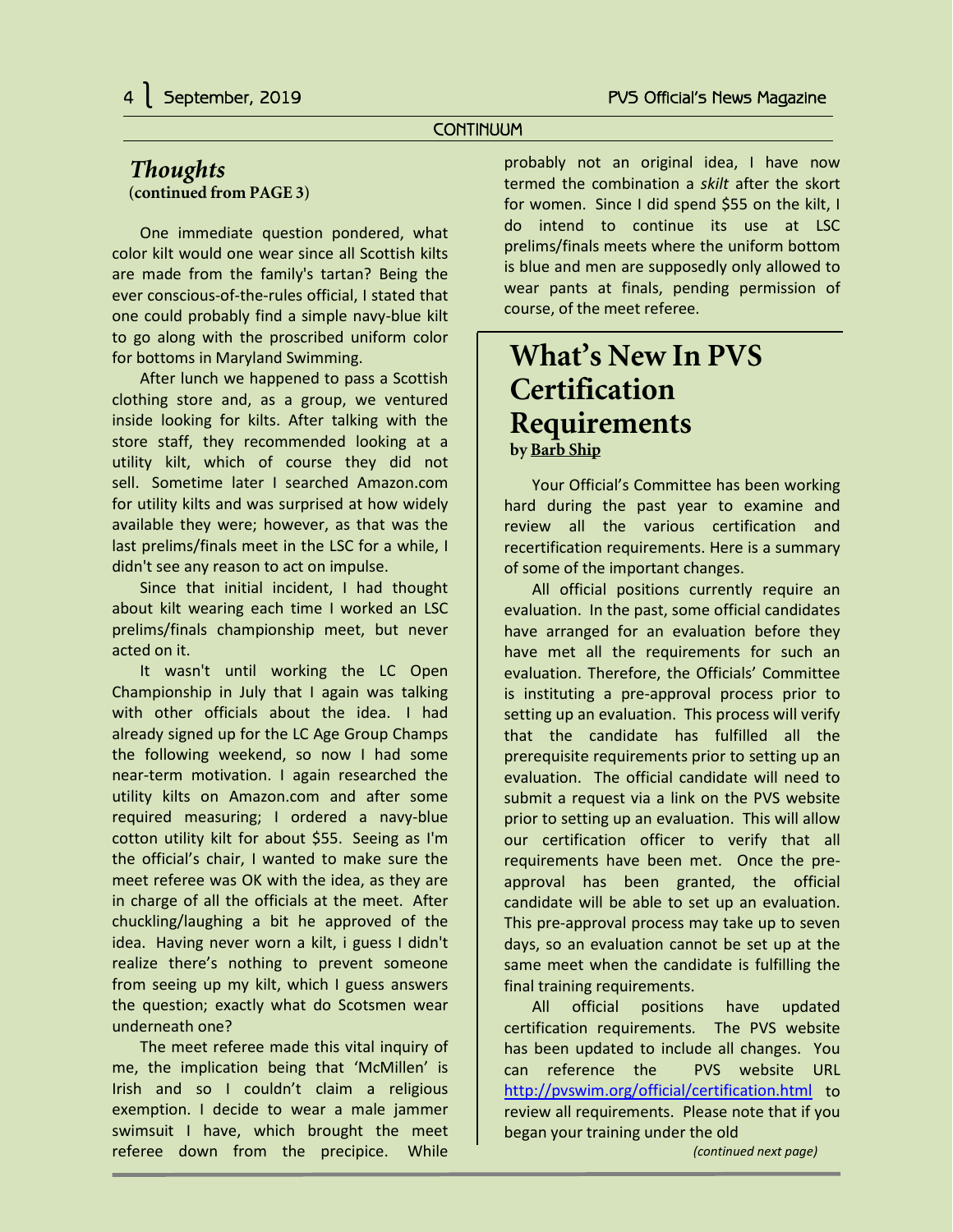#### **CONTINUUM**

#### *Thoughts* **(continued from PAGE 3)**

One immediate question pondered, what color kilt would one wear since all Scottish kilts are made from the family's tartan? Being the ever conscious-of-the-rules official, I stated that one could probably find a simple navy-blue kilt to go along with the proscribed uniform color for bottoms in Maryland Swimming.

After lunch we happened to pass a Scottish clothing store and, as a group, we ventured inside looking for kilts. After talking with the store staff, they recommended looking at a utility kilt, which of course they did not sell. Sometime later I searched Amazon.com for utility kilts and was surprised at how widely available they were; however, as that was the last prelims/finals meet in the LSC for a while, I didn't see any reason to act on impulse.

Since that initial incident, I had thought about kilt wearing each time I worked an LSC prelims/finals championship meet, but never acted on it.

It wasn't until working the LC Open Championship in July that I again was talking with other officials about the idea. I had already signed up for the LC Age Group Champs the following weekend, so now I had some near-term motivation. I again researched the utility kilts on Amazon.com and after some required measuring; I ordered a navy-blue cotton utility kilt for about \$55. Seeing as I'm the official's chair, I wanted to make sure the meet referee was OK with the idea, as they are in charge of all the officials at the meet. After chuckling/laughing a bit he approved of the idea. Having never worn a kilt, i guess I didn't realize there's nothing to prevent someone from seeing up my kilt, which I guess answers the question; exactly what do Scotsmen wear underneath one?

The meet referee made this vital inquiry of me, the implication being that 'McMillen' is Irish and so I couldn't claim a religious exemption. I decide to wear a male jammer swimsuit I have, which brought the meet referee down from the precipice. While

probably not an original idea, I have now termed the combination a *skilt* after the skort for women. Since I did spend \$55 on the kilt, I do intend to continue its use at LSC prelims/finals meets where the uniform bottom is blue and men are supposedly only allowed to wear pants at finals, pending permission of course, of the meet referee.

## **What's New In PVS Certification Requirements by Barb Ship**

Your Official's Committee has been working hard during the past year to examine and review all the various certification and recertification requirements. Here is a summary of some of the important changes.

All official positions currently require an evaluation. In the past, some official candidates have arranged for an evaluation before they have met all the requirements for such an evaluation. Therefore, the Officials' Committee is instituting a pre-approval process prior to setting up an evaluation. This process will verify that the candidate has fulfilled all the prerequisite requirements prior to setting up an evaluation. The official candidate will need to submit a request via a link on the PVS website prior to setting up an evaluation. This will allow our certification officer to verify that all requirements have been met. Once the preapproval has been granted, the official candidate will be able to set up an evaluation. This pre-approval process may take up to seven days, so an evaluation cannot be set up at the same meet when the candidate is fulfilling the final training requirements.

All official positions have updated certification requirements. The PVS website has been updated to include all changes. You can reference the PVS website URL <http://pvswim.org/official/certification.html> to review all requirements. Please note that if you began your training under the old *(continued next page)*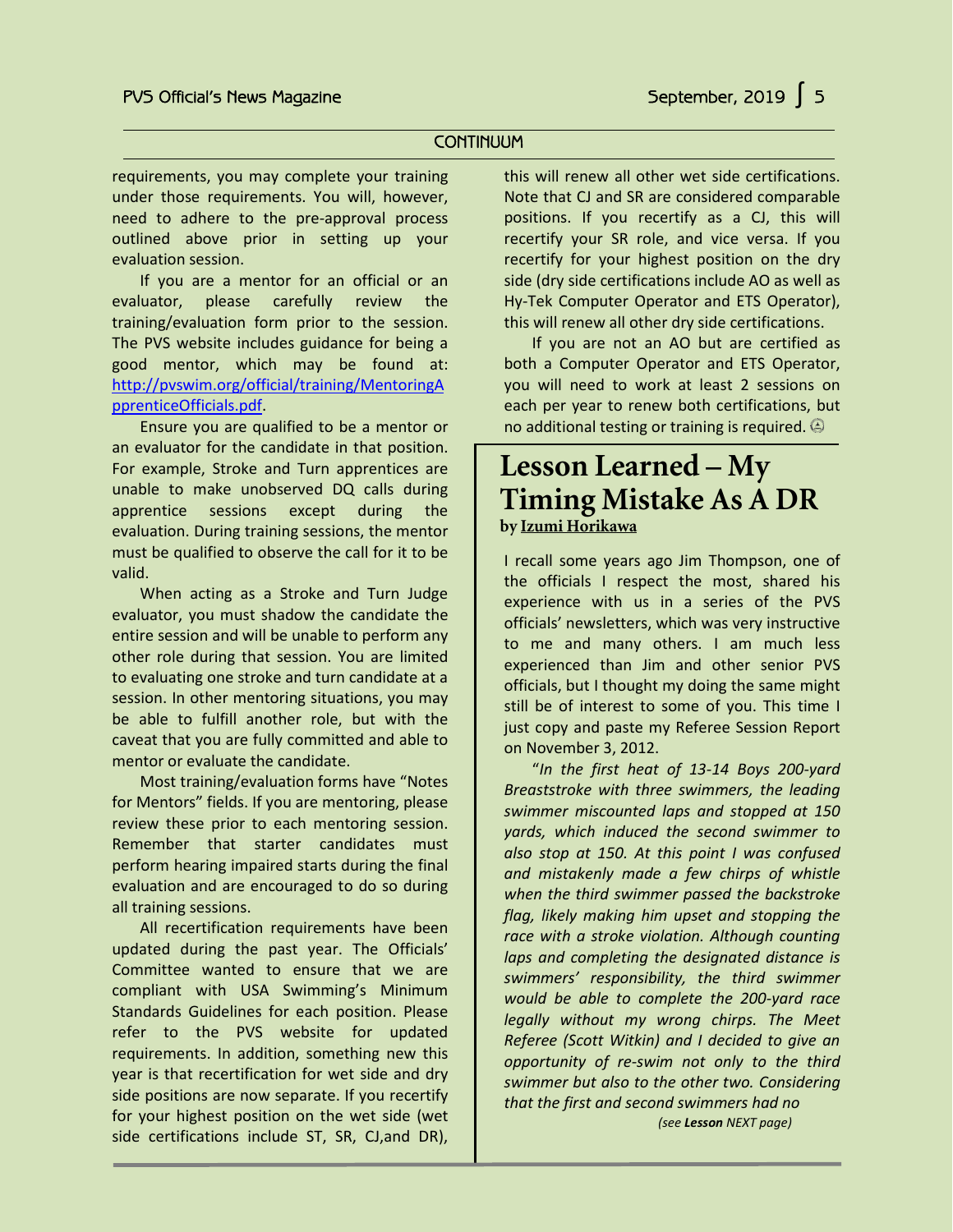#### **CONTINUUM**

requirements, you may complete your training under those requirements. You will, however, need to adhere to the pre-approval process outlined above prior in setting up your evaluation session.

If you are a mentor for an official or an evaluator, please carefully review the training/evaluation form prior to the session. The PVS website includes guidance for being a good mentor, which may be found at: [http://pvswim.org/official/training/MentoringA](http://pvswim.org/official/training/MentoringApprenticeOfficials.pdf) [pprenticeOfficials.pdf.](http://pvswim.org/official/training/MentoringApprenticeOfficials.pdf)

Ensure you are qualified to be a mentor or an evaluator for the candidate in that position. For example, Stroke and Turn apprentices are unable to make unobserved DQ calls during apprentice sessions except during the evaluation. During training sessions, the mentor must be qualified to observe the call for it to be valid.

When acting as a Stroke and Turn Judge evaluator, you must shadow the candidate the entire session and will be unable to perform any other role during that session. You are limited to evaluating one stroke and turn candidate at a session. In other mentoring situations, you may be able to fulfill another role, but with the caveat that you are fully committed and able to mentor or evaluate the candidate.

Most training/evaluation forms have "Notes for Mentors" fields. If you are mentoring, please review these prior to each mentoring session. Remember that starter candidates must perform hearing impaired starts during the final evaluation and are encouraged to do so during all training sessions.

All recertification requirements have been updated during the past year. The Officials' Committee wanted to ensure that we are compliant with USA Swimming's Minimum Standards Guidelines for each position. Please refer to the PVS website for updated requirements. In addition, something new this year is that recertification for wet side and dry side positions are now separate. If you recertify for your highest position on the wet side (wet side certifications include ST, SR, CJ,and DR),

this will renew all other wet side certifications. Note that CJ and SR are considered comparable positions. If you recertify as a CJ, this will recertify your SR role, and vice versa. If you recertify for your highest position on the dry side (dry side certifications include AO as well as Hy-Tek Computer Operator and ETS Operator), this will renew all other dry side certifications.

If you are not an AO but are certified as both a Computer Operator and ETS Operator, you will need to work at least 2 sessions on each per year to renew both certifications, but no additional testing or training is required.

## **Lesson Learned – My Timing Mistake As A DR by Izumi Horikawa**

I recall some years ago Jim Thompson, one of the officials I respect the most, shared his experience with us in a series of the PVS officials' newsletters, which was very instructive to me and many others. I am much less experienced than Jim and other senior PVS officials, but I thought my doing the same might still be of interest to some of you. This time I just copy and paste my Referee Session Report on November 3, 2012.

"*In the first heat of 13-14 Boys 200-yard Breaststroke with three swimmers, the leading swimmer miscounted laps and stopped at 150 yards, which induced the second swimmer to also stop at 150. At this point I was confused and mistakenly made a few chirps of whistle when the third swimmer passed the backstroke flag, likely making him upset and stopping the race with a stroke violation. Although counting laps and completing the designated distance is swimmers' responsibility, the third swimmer would be able to complete the 200-yard race legally without my wrong chirps. The Meet Referee (Scott Witkin) and I decided to give an opportunity of re-swim not only to the third swimmer but also to the other two. Considering that the first and second swimmers had no*

*(see Lesson NEXT page)*